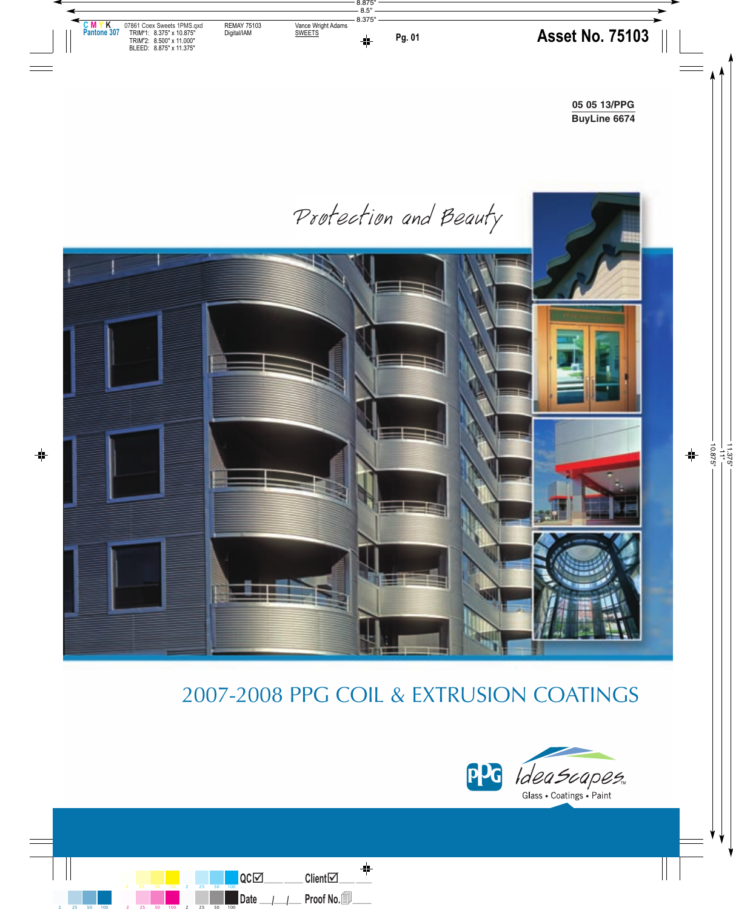Protection and Beauty



# 2007-2008 PPG COIL & EXTRUSION COATINGS

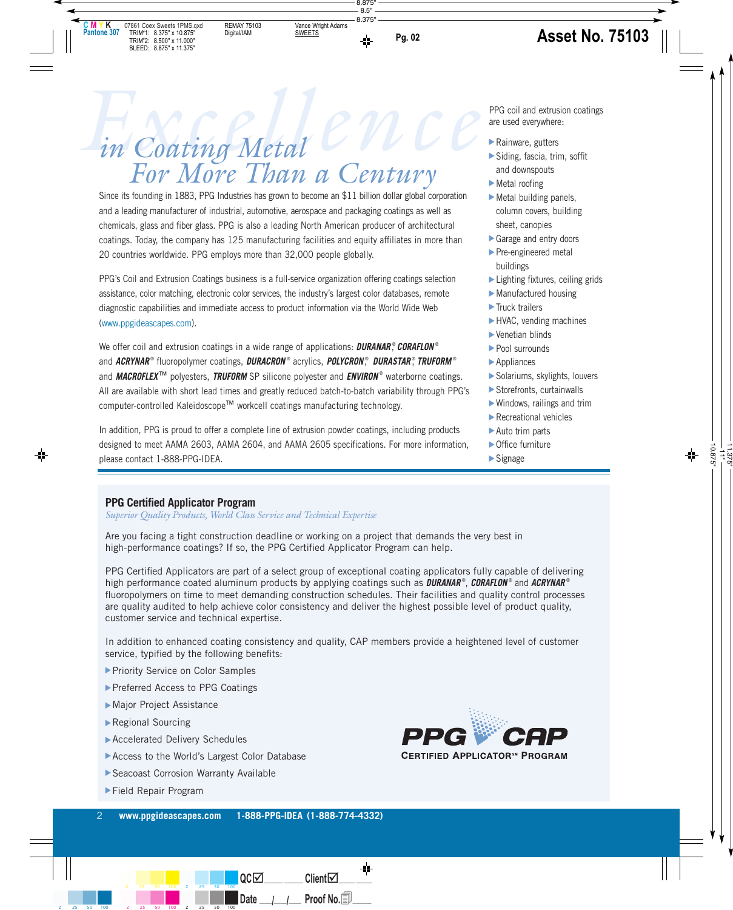# *Excellence in Coating Metal For More Than a Century*

Since its founding in 1883, PPG Industries has grown to become an \$11 billion dollar global corporation and a leading manufacturer of industrial, automotive, aerospace and packaging coatings as well as chemicals, glass and fiber glass. PPG is also a leading North American producer of architectural coatings. Today, the company has 125 manufacturing facilities and equity affiliates in more than 20 countries worldwide. PPG employs more than 32,000 people globally.

PPG's Coil and Extrusion Coatings business is a full-service organization offering coatings selection assistance, color matching, electronic color services, the industry's largest color databases, remote diagnostic capabilities and immediate access to product information via the World Wide Web (www.ppgideascapes.com).

We offer coil and extrusion coatings in a wide range of applications: **DURANAR** ® , **CORAFLON** ® and **ACRYNAR**® fluoropolymer coatings, **DURACRON** ® acrylics, **POLYCRON** ® , **DURASTAR**® , **TRUFORM** ® and **MACROFLEX<sup>™</sup> polyesters, TRUFORM** SP silicone polyester and **ENVIRON**<sup>®</sup> waterborne coatings. All are available with short lead times and greatly reduced batch-to-batch variability through PPG's computer-controlled Kaleidoscope™ workcell coatings manufacturing technology.

In addition, PPG is proud to offer a complete line of extrusion powder coatings, including products designed to meet AAMA 2603, AAMA 2604, and AAMA 2605 specifications. For more information, please contact 1-888-PPG-IDEA.

PPG coil and extrusion coatings are used everywhere:

- Rainware, gutters
- Siding, fascia, trim, soffit and downspouts
- Metal roofing
- $\blacktriangleright$  Metal building panels, column covers, building sheet, canopies ▲ ▲ ▲ ▲ ▲ ▲ ▲ ▲ ▲ ▲ ▲ ▲ ▲ ▲ ▲
- Garage and entry doors
- Pre-engineered metal buildings
- ► Lighting fixtures, ceiling grids
- Manufactured housing
- Truck trailers
- HVAC, vending machines
- Venetian blinds
- Pool surrounds
- **Appliances**
- Solariums, skylights, louvers
- Storefronts, curtainwalls
- Windows, railings and trim
- Recreational vehicles
- ▶ Auto trim parts
- ▶ Office furniture
- Signage

#### **PPG Certified Applicator Program**

*Superior Quality Products, World Class Service and Technical Expertise*

Are you facing a tight construction deadline or working on a project that demands the very best in high-performance coatings? If so, the PPG Certified Applicator Program can help.

PPG Certified Applicators are part of a select group of exceptional coating applicators fully capable of delivering high performance coated aluminum products by applying coatings such as **DURANAR** ® , **CORAFLON** ® and **ACRYNAR** ® fluoropolymers on time to meet demanding construction schedules. Their facilities and quality control processes are quality audited to help achieve color consistency and deliver the highest possible level of product quality, customer service and technical expertise.

In addition to enhanced coating consistency and quality, CAP members provide a heightened level of customer service, typified by the following benefits:

- ▶ Priority Service on Color Samples
- ▶ Preferred Access to PPG Coatings
- Major Project Assistance
- Regional Sourcing
- Accelerated Delivery Schedules
- ▶ Accelerated Delivery Schedules<br>▶ Access to the World's Largest Color Database
- ▶ Seacoast Corrosion Warranty Available
- Field Repair Program

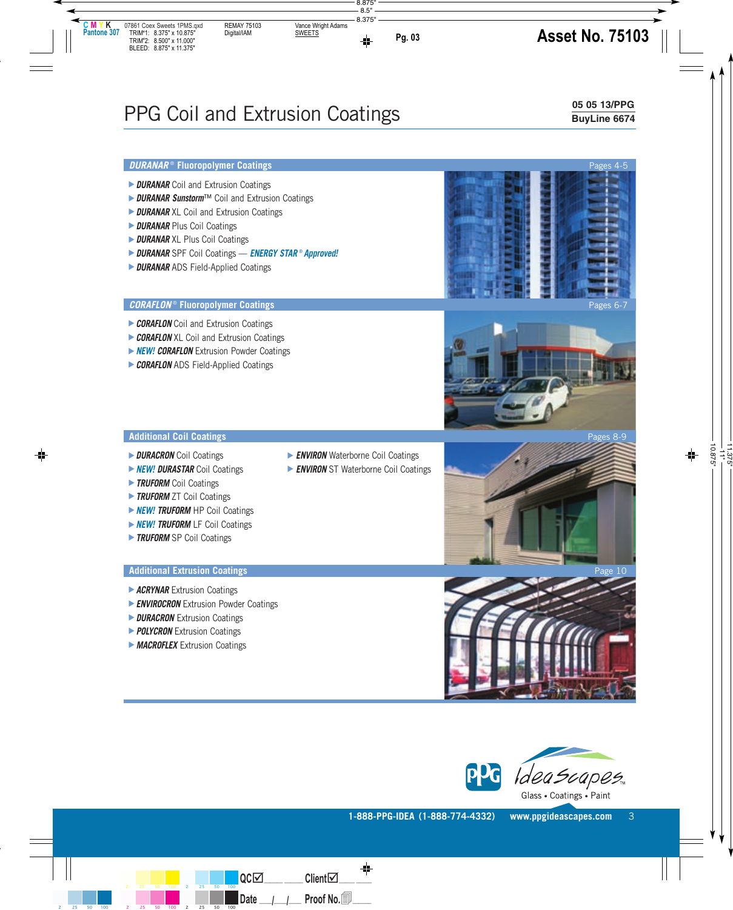# PPG Coil and Extrusion Coatings

#### **05 05 13/PPG BuyLine 6674**

- **DURANAR** Coil and Extrusion Coatings
- **DURANAR Sunstorm**™ Coil and Extrusion Coatings
- **DURANAR** XL Coil and Extrusion Coatings
- **DURANAR** Plus Coil Coatings ▲▲▲▲▲
- **DURANAR** XL Plus Coil Coatings
- **DURANAR** SPF Coil Coatings **ENERGY STAR** ® **Approved!** ▲
- **DURANAR** ADS Field-Applied Coatings

#### **CORAFLON**<sup>®</sup> Fluoropolymer Coatings

- **CORAFLON** Coil and Extrusion Coatings
- **CORAFLON** XL Coil and Extrusion Coatings
- **NEW! CORAFLON** Extrusion Powder Coatings ▲▲▲▲
- **CORAFLON** ADS Field-Applied Coatings

#### **Additional Coil Coatings** Pages 8-9

- *DURACRON* Coil Coatings
- **NEW! DURASTAR** Coil Coatings
- **TRUFORM** Coil Coatings
- **TRUFORM** ZT Coil Coatings ▲▲▲
- **NEW! TRUFORM** HP Coil Coatings
- **NEW! TRUFORM** LF Coil Coatings
- ▶ *NEW! TRUFORM* LF Coil Coa<br>▶ *TRUFORM* SP Coil Coatings

- **ACRYNAR** Extrusion Coatings
- **ENVIROCRON** Extrusion Powder Coatings ▲▲▲▲
- **DURACRON** Extrusion Coatings
- **POLYCRON** Extrusion Coatings
- **MACROFLEX** Extrusion Coatings
- **ENVIRON** Waterborne Coil Coatings
- **ENVIRON** ST Waterborne Coil Coatings









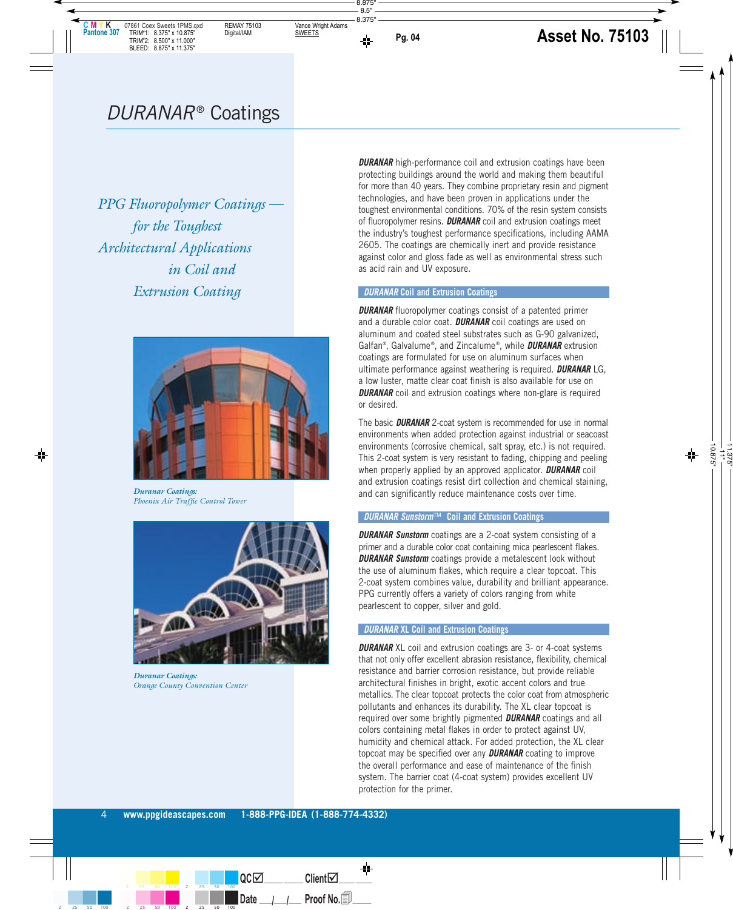*PPG Fluoropolymer Coatings for the Toughest Architectural Applications in Coil and Extrusion Coating*



*Duranar Coatings: Phoenix Air Traffic Control Tower*



*Duranar Coatings: Orange County Convention Center*

**DURANAR** high-performance coil and extrusion coatings have been protecting buildings around the world and making them beautiful for more than 40 years. They combine proprietary resin and pigment technologies, and have been proven in applications under the toughest environmental conditions. 70% of the resin system consists of fluoropolymer resins. **DURANAR** coil and extrusion coatings meet the industry's toughest performance specifications, including AAMA 2605. The coatings are chemically inert and provide resistance against color and gloss fade as well as environmental stress such as acid rain and UV exposure.

#### **DURANAR Coil and Extrusion Coatings**

**DURANAR** fluoropolymer coatings consist of a patented primer and a durable color coat. **DURANAR** coil coatings are used on aluminum and coated steel substrates such as G-90 galvanized, Galfan®, Galvalume ®, and Zincalume ®, while **DURANAR** extrusion coatings are formulated for use on aluminum surfaces when ultimate performance against weathering is required. **DURANAR** LG, a low luster, matte clear coat finish is also available for use on **DURANAR** coil and extrusion coatings where non-glare is required or desired.

The basic **DURANAR** 2-coat system is recommended for use in normal environments when added protection against industrial or seacoast environments (corrosive chemical, salt spray, etc.) is not required. This 2-coat system is very resistant to fading, chipping and peeling when properly applied by an approved applicator. **DURANAR** coil and extrusion coatings resist dirt collection and chemical staining, and can significantly reduce maintenance costs over time.

#### **DURANAR Sunstorm**™ **Coil and Extrusion Coatings**

**DURANAR Sunstorm** coatings are a 2-coat system consisting of a primer and a durable color coat containing mica pearlescent flakes. **DURANAR Sunstorm** coatings provide a metalescent look without the use of aluminum flakes, which require a clear topcoat. This 2-coat system combines value, durability and brilliant appearance. PPG currently offers a variety of colors ranging from white pearlescent to copper, silver and gold.

#### **DURANAR XL Coil and Extrusion Coatings**

**DURANAR** XL coil and extrusion coatings are 3- or 4-coat systems that not only offer excellent abrasion resistance, flexibility, chemical resistance and barrier corrosion resistance, but provide reliable architectural finishes in bright, exotic accent colors and true metallics. The clear topcoat protects the color coat from atmospheric pollutants and enhances its durability. The XL clear topcoat is required over some brightly pigmented **DURANAR** coatings and all colors containing metal flakes in order to protect against UV, humidity and chemical attack. For added protection, the XL clear topcoat may be specified over any **DURANAR** coating to improve the overall performance and ease of maintenance of the finish system. The barrier coat (4-coat system) provides excellent UV protection for the primer.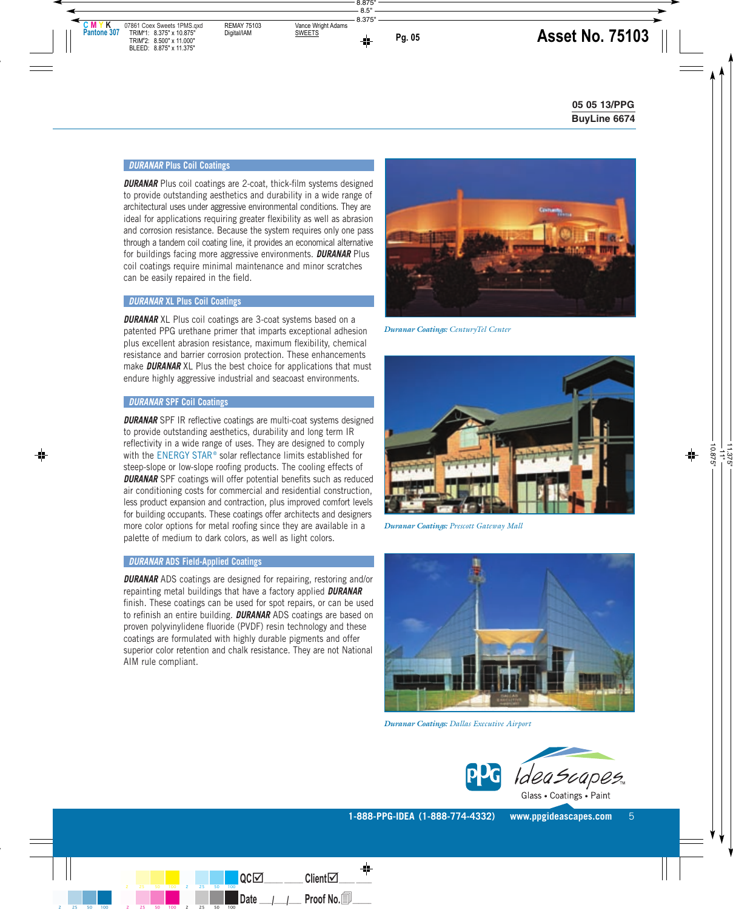#### **DURANAR Plus Coil Coatings**

**DURANAR** Plus coil coatings are 2-coat, thick-film systems designed to provide outstanding aesthetics and durability in a wide range of architectural uses under aggressive environmental conditions. They are ideal for applications requiring greater flexibility as well as abrasion and corrosion resistance. Because the system requires only one pass through a tandem coil coating line, it provides an economical alternative for buildings facing more aggressive environments. **DURANAR** Plus coil coatings require minimal maintenance and minor scratches can be easily repaired in the field.

#### **DURANAR XL Plus Coil Coatings**

**DURANAR** XL Plus coil coatings are 3-coat systems based on a patented PPG urethane primer that imparts exceptional adhesion plus excellent abrasion resistance, maximum flexibility, chemical resistance and barrier corrosion protection. These enhancements make **DURANAR** XL Plus the best choice for applications that must endure highly aggressive industrial and seacoast environments.

#### **DURANAR SPF Coil Coatings**

**DURANAR** SPF IR reflective coatings are multi-coat systems designed to provide outstanding aesthetics, durability and long term IR reflectivity in a wide range of uses. They are designed to comply with the ENERGY STAR<sup>®</sup> solar reflectance limits established for steep-slope or low-slope roofing products. The cooling effects of **DURANAR** SPF coatings will offer potential benefits such as reduced air conditioning costs for commercial and residential construction, less product expansion and contraction, plus improved comfort levels for building occupants. These coatings offer architects and designers more color options for metal roofing since they are available in a palette of medium to dark colors, as well as light colors.

#### **DURANAR ADS Field-Applied Coatings**

**DURANAR** ADS coatings are designed for repairing, restoring and/or repainting metal buildings that have a factory applied **DURANAR** finish. These coatings can be used for spot repairs, or can be used to refinish an entire building. **DURANAR** ADS coatings are based on proven polyvinylidene fluoride (PVDF) resin technology and these coatings are formulated with highly durable pigments and offer superior color retention and chalk resistance. They are not National AIM rule compliant.



*Duranar Coatings: CenturyTel Center*



*Duranar Coatings: Prescott Gateway Mall*



*Duranar Coatings: Dallas Executive Airport*

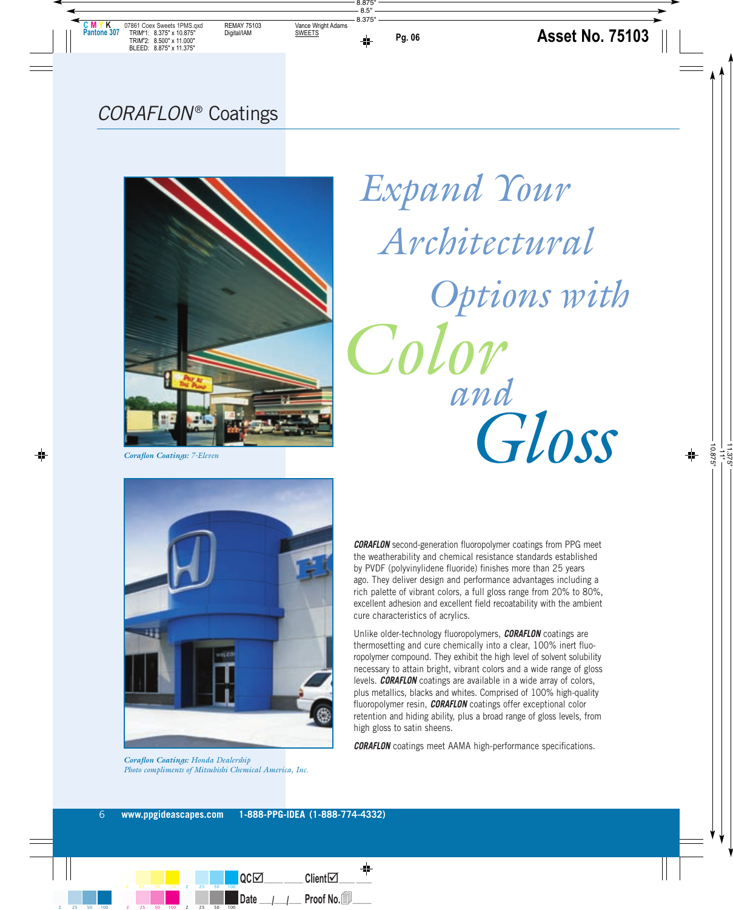# CORAFLON® Coatings



# *Expand Your Architectural Options with Color and Gloss*

*Coraflon Coatings: 7-Eleven*



*Coraflon Coatings: Honda Dealership Photo compliments of Mitsubishi Chemical America, Inc.*

**CORAFLON** second-generation fluoropolymer coatings from PPG meet the weatherability and chemical resistance standards established by PVDF (polyvinylidene fluoride) finishes more than 25 years ago. They deliver design and performance advantages including a rich palette of vibrant colors, a full gloss range from 20% to 80%, excellent adhesion and excellent field recoatability with the ambient cure characteristics of acrylics.

Unlike older-technology fluoropolymers, **CORAFLON** coatings are thermosetting and cure chemically into a clear, 100% inert fluoropolymer compound. They exhibit the high level of solvent solubility necessary to attain bright, vibrant colors and a wide range of gloss levels. **CORAFLON** coatings are available in a wide array of colors, plus metallics, blacks and whites. Comprised of 100% high-quality fluoropolymer resin, **CORAFLON** coatings offer exceptional color retention and hiding ability, plus a broad range of gloss levels, from high gloss to satin sheens.

**CORAFLON** coatings meet AAMA high-performance specifications.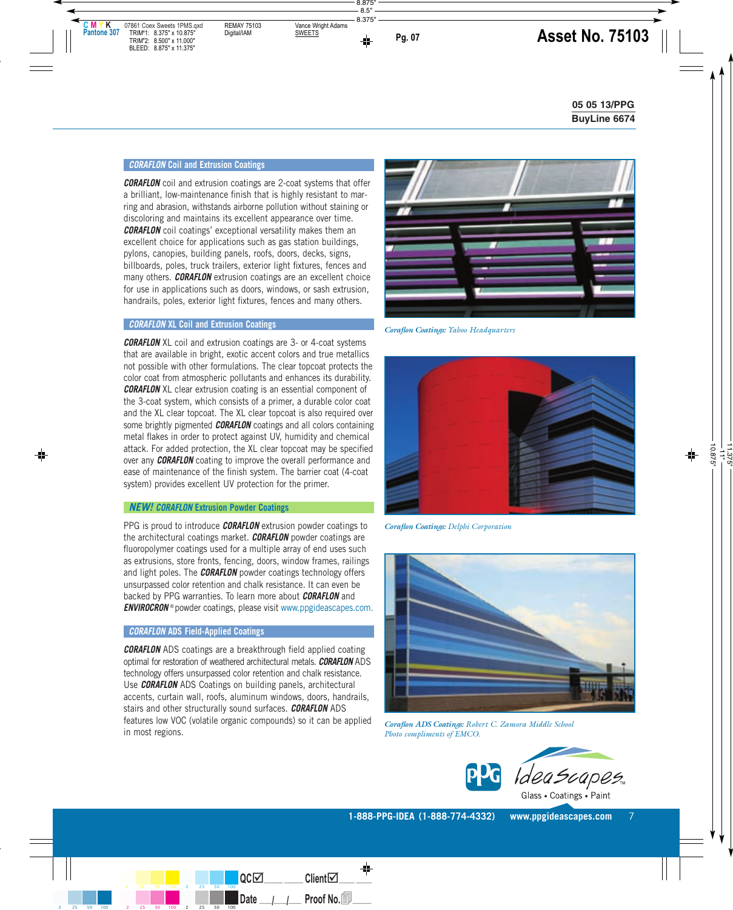#### **CORAFLON Coil and Extrusion Coatings**

**CORAFLON** coil and extrusion coatings are 2-coat systems that offer a brilliant, low-maintenance finish that is highly resistant to marring and abrasion, withstands airborne pollution without staining or discoloring and maintains its excellent appearance over time. **CORAFLON** coil coatings' exceptional versatility makes them an excellent choice for applications such as gas station buildings, pylons, canopies, building panels, roofs, doors, decks, signs, billboards, poles, truck trailers, exterior light fixtures, fences and many others. **CORAFLON** extrusion coatings are an excellent choice for use in applications such as doors, windows, or sash extrusion, handrails, poles, exterior light fixtures, fences and many others.

#### **CORAFLON XL Coil and Extrusion Coatings**

**CORAFLON** XL coil and extrusion coatings are 3- or 4-coat systems that are available in bright, exotic accent colors and true metallics not possible with other formulations. The clear topcoat protects the color coat from atmospheric pollutants and enhances its durability. **CORAFLON** XL clear extrusion coating is an essential component of the 3-coat system, which consists of a primer, a durable color coat and the XL clear topcoat. The XL clear topcoat is also required over some brightly pigmented **CORAFLON** coatings and all colors containing metal flakes in order to protect against UV, humidity and chemical attack. For added protection, the XL clear topcoat may be specified over any **CORAFLON** coating to improve the overall performance and ease of maintenance of the finish system. The barrier coat (4-coat system) provides excellent UV protection for the primer.

#### **NEW! CORAFLON Extrusion Powder Coatings**

PPG is proud to introduce **CORAFLON** extrusion powder coatings to the architectural coatings market. **CORAFLON** powder coatings are fluoropolymer coatings used for a multiple array of end uses such as extrusions, store fronts, fencing, doors, window frames, railings and light poles. The **CORAFLON** powder coatings technology offers unsurpassed color retention and chalk resistance. It can even be backed by PPG warranties. To learn more about **CORAFLON** and **ENVIROCRON**<sup>®</sup> powder coatings, please visit www.ppgideascapes.com.

#### **CORAFLON ADS Field-Applied Coatings**

**CORAFLON** ADS coatings are a breakthrough field applied coating optimal for restoration of weathered architectural metals. **CORAFLON** ADS technology offers unsurpassed color retention and chalk resistance. Use **CORAFLON** ADS Coatings on building panels, architectural accents, curtain wall, roofs, aluminum windows, doors, handrails, stairs and other structurally sound surfaces. **CORAFLON** ADS features low VOC (volatile organic compounds) so it can be applied in most regions.



*Coraflon Coatings: Yahoo Headquarters*



*Coraflon Coatings: Delphi Corporation*



*Coraflon ADS Coatings: Robert C. Zamora Middle School Photo compliments of EMCO.*

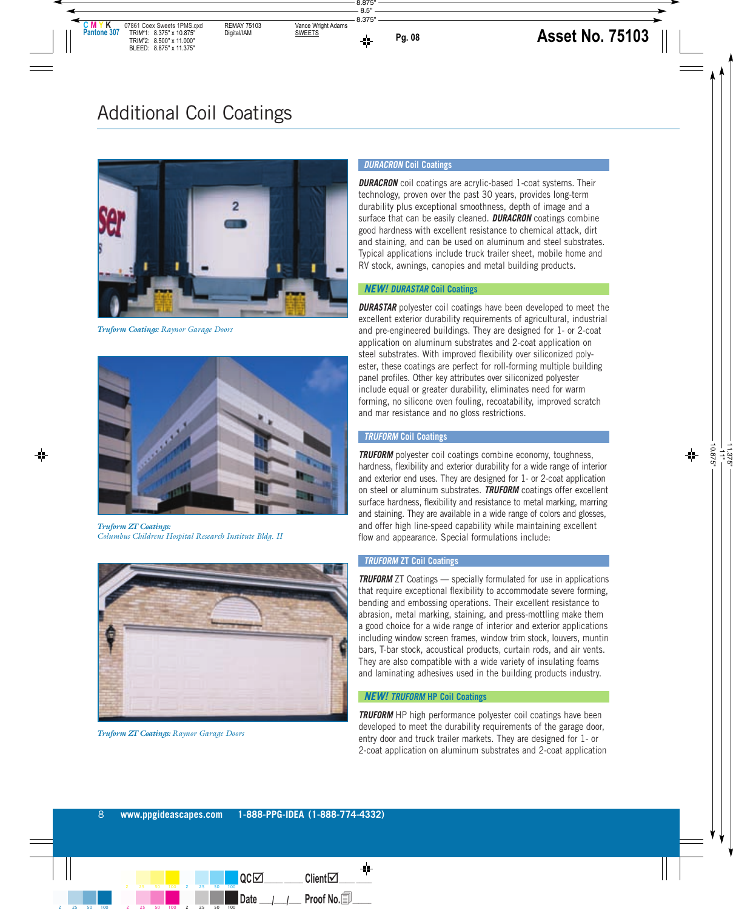

*Truform Coatings: Raynor Garage Doors*



*Truform ZT Coatings: Columbus Childrens Hospital Research Institute Bldg. II*



*Truform ZT Coatings: Raynor Garage Doors*

#### **DURACRON Coil Coatings**

**DURACRON** coil coatings are acrylic-based 1-coat systems. Their technology, proven over the past 30 years, provides long-term durability plus exceptional smoothness, depth of image and a surface that can be easily cleaned. **DURACRON** coatings combine good hardness with excellent resistance to chemical attack, dirt and staining, and can be used on aluminum and steel substrates. Typical applications include truck trailer sheet, mobile home and RV stock, awnings, canopies and metal building products.

#### **NEW! DURASTAR Coil Coatings**

**DURASTAR** polyester coil coatings have been developed to meet the excellent exterior durability requirements of agricultural, industrial and pre-engineered buildings. They are designed for 1- or 2-coat application on aluminum substrates and 2-coat application on steel substrates. With improved flexibility over siliconized polyester, these coatings are perfect for roll-forming multiple building panel profiles. Other key attributes over siliconized polyester include equal or greater durability, eliminates need for warm forming, no silicone oven fouling, recoatability, improved scratch and mar resistance and no gloss restrictions.

#### **TRUFORM Coil Coatings**

**TRUFORM** polyester coil coatings combine economy, toughness, hardness, flexibility and exterior durability for a wide range of interior and exterior end uses. They are designed for 1- or 2-coat application on steel or aluminum substrates. **TRUFORM** coatings offer excellent surface hardness, flexibility and resistance to metal marking, marring and staining. They are available in a wide range of colors and glosses, and offer high line-speed capability while maintaining excellent flow and appearance. Special formulations include:

#### **TRUFORM ZT Coil Coatings**

**TRUFORM** ZT Coatings — specially formulated for use in applications that require exceptional flexibility to accommodate severe forming, bending and embossing operations. Their excellent resistance to abrasion, metal marking, staining, and press-mottling make them a good choice for a wide range of interior and exterior applications including window screen frames, window trim stock, louvers, muntin bars, T-bar stock, acoustical products, curtain rods, and air vents. They are also compatible with a wide variety of insulating foams and laminating adhesives used in the building products industry.

#### **NEW! TRUFORM HP Coil Coatings**

**TRUFORM** HP high performance polyester coil coatings have been developed to meet the durability requirements of the garage door, entry door and truck trailer markets. They are designed for 1- or 2-coat application on aluminum substrates and 2-coat application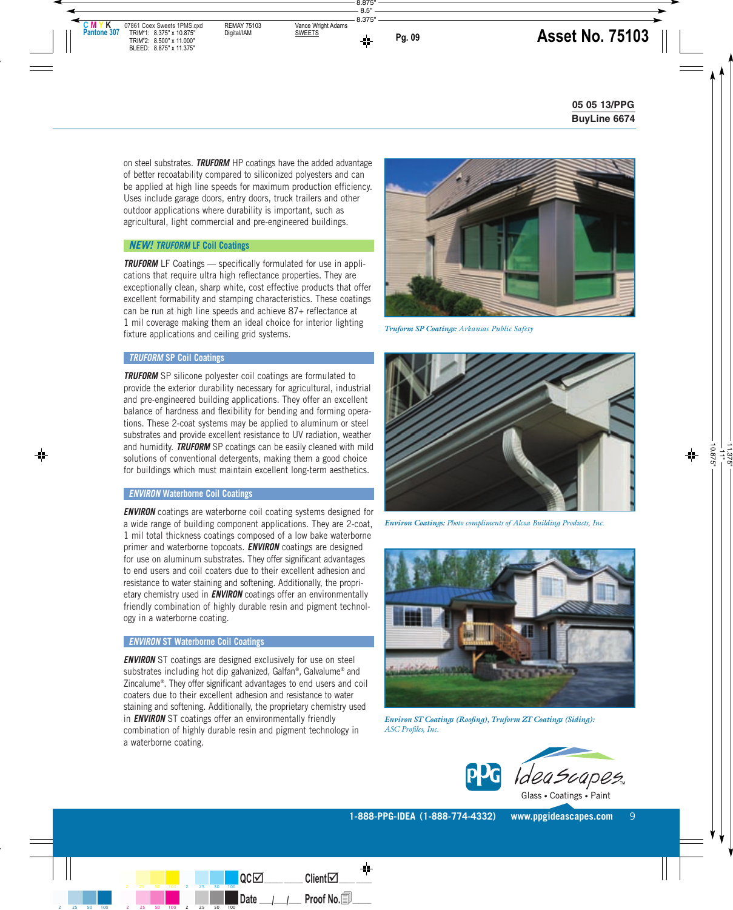on steel substrates. **TRUFORM** HP coatings have the added advantage of better recoatability compared to siliconized polyesters and can be applied at high line speeds for maximum production efficiency. Uses include garage doors, entry doors, truck trailers and other outdoor applications where durability is important, such as agricultural, light commercial and pre-engineered buildings.

#### **NEW! TRUFORM LF Coil Coatings**

**TRUFORM** LF Coatings — specifically formulated for use in applications that require ultra high reflectance properties. They are exceptionally clean, sharp white, cost effective products that offer excellent formability and stamping characteristics. These coatings can be run at high line speeds and achieve 87+ reflectance at 1 mil coverage making them an ideal choice for interior lighting fixture applications and ceiling grid systems.



*Truform SP Coatings: Arkansas Public Safety*

#### **TRUFORM SP Coil Coatings**

**TRUFORM** SP silicone polyester coil coatings are formulated to provide the exterior durability necessary for agricultural, industrial and pre-engineered building applications. They offer an excellent balance of hardness and flexibility for bending and forming operations. These 2-coat systems may be applied to aluminum or steel substrates and provide excellent resistance to UV radiation, weather and humidity. **TRUFORM** SP coatings can be easily cleaned with mild solutions of conventional detergents, making them a good choice for buildings which must maintain excellent long-term aesthetics.

#### **ENVIRON Waterborne Coil Coatings**

**ENVIRON** coatings are waterborne coil coating systems designed for a wide range of building component applications. They are 2-coat, 1 mil total thickness coatings composed of a low bake waterborne primer and waterborne topcoats. **ENVIRON** coatings are designed for use on aluminum substrates. They offer significant advantages to end users and coil coaters due to their excellent adhesion and resistance to water staining and softening. Additionally, the proprietary chemistry used in **ENVIRON** coatings offer an environmentally friendly combination of highly durable resin and pigment technology in a waterborne coating.

#### **ENVIRON ST Waterborne Coil Coatings**

**ENVIRON** ST coatings are designed exclusively for use on steel substrates including hot dip galvanized, Galfan®, Galvalume® and Zincalume®. They offer significant advantages to end users and coil coaters due to their excellent adhesion and resistance to water staining and softening. Additionally, the proprietary chemistry used in **ENVIRON** ST coatings offer an environmentally friendly combination of highly durable resin and pigment technology in a waterborne coating.



*Environ Coatings: Photo compliments of Alcoa Building Products, Inc.*



*Environ ST Coatings (Roofing), Truform ZT Coatings (Siding): ASC Profiles, Inc.*



**1-888-PPG-IDEA (1-888-774-4332) www.ppgideascapes.com** 9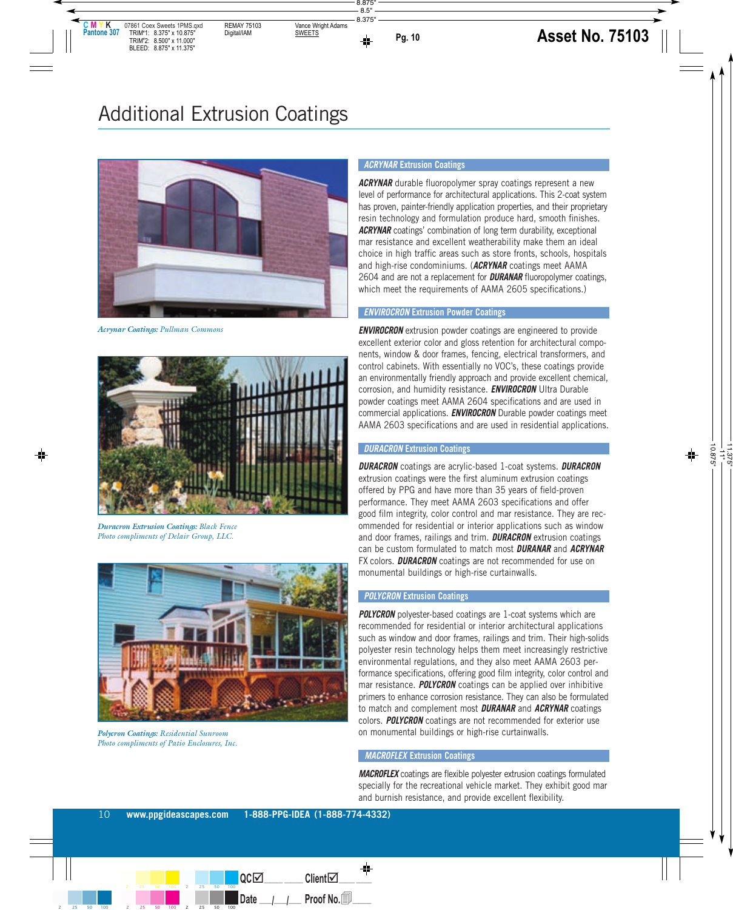

*Acrynar Coatings: Pullman Commons* 



*Duracron Extrusion Coatings: Black Fence Photo compliments of Delair Group, LLC.*



*Polycron Coatings: Residential Sunroom Photo compliments of Patio Enclosures, Inc.*

#### **ACRYNAR Extrusion Coatings**

**ACRYNAR** durable fluoropolymer spray coatings represent a new level of performance for architectural applications. This 2-coat system has proven, painter-friendly application properties, and their proprietary resin technology and formulation produce hard, smooth finishes. **ACRYNAR** coatings' combination of long term durability, exceptional mar resistance and excellent weatherability make them an ideal choice in high traffic areas such as store fronts, schools, hospitals and high-rise condominiums. (**ACRYNAR** coatings meet AAMA 2604 and are not a replacement for **DURANAR** fluoropolymer coatings, which meet the requirements of AAMA 2605 specifications.)

#### **ENVIROCRON Extrusion Powder Coatings**

**ENVIROCRON** extrusion powder coatings are engineered to provide excellent exterior color and gloss retention for architectural components, window & door frames, fencing, electrical transformers, and control cabinets. With essentially no VOC's, these coatings provide an environmentally friendly approach and provide excellent chemical, corrosion, and humidity resistance. **ENVIROCRON** Ultra Durable powder coatings meet AAMA 2604 specifications and are used in commercial applications. **ENVIROCRON** Durable powder coatings meet AAMA 2603 specifications and are used in residential applications.

#### **DURACRON Extrusion Coatings**

**DURACRON** coatings are acrylic-based 1-coat systems. **DURACRON** extrusion coatings were the first aluminum extrusion coatings offered by PPG and have more than 35 years of field-proven performance. They meet AAMA 2603 specifications and offer good film integrity, color control and mar resistance. They are recommended for residential or interior applications such as window and door frames, railings and trim. **DURACRON** extrusion coatings can be custom formulated to match most **DURANAR** and **ACRYNAR** FX colors. **DURACRON** coatings are not recommended for use on monumental buildings or high-rise curtainwalls.

#### **POLYCRON Extrusion Coatings**

**POLYCRON** polyester-based coatings are 1-coat systems which are recommended for residential or interior architectural applications such as window and door frames, railings and trim. Their high-solids polyester resin technology helps them meet increasingly restrictive environmental regulations, and they also meet AAMA 2603 performance specifications, offering good film integrity, color control and mar resistance. **POLYCRON** coatings can be applied over inhibitive primers to enhance corrosion resistance. They can also be formulated to match and complement most **DURANAR** and **ACRYNAR** coatings colors. **POLYCRON** coatings are not recommended for exterior use on monumental buildings or high-rise curtainwalls.

#### **MACROFLEX Extrusion Coatings**

**MACROFLEX** coatings are flexible polyester extrusion coatings formulated specially for the recreational vehicle market. They exhibit good mar and burnish resistance, and provide excellent flexibility.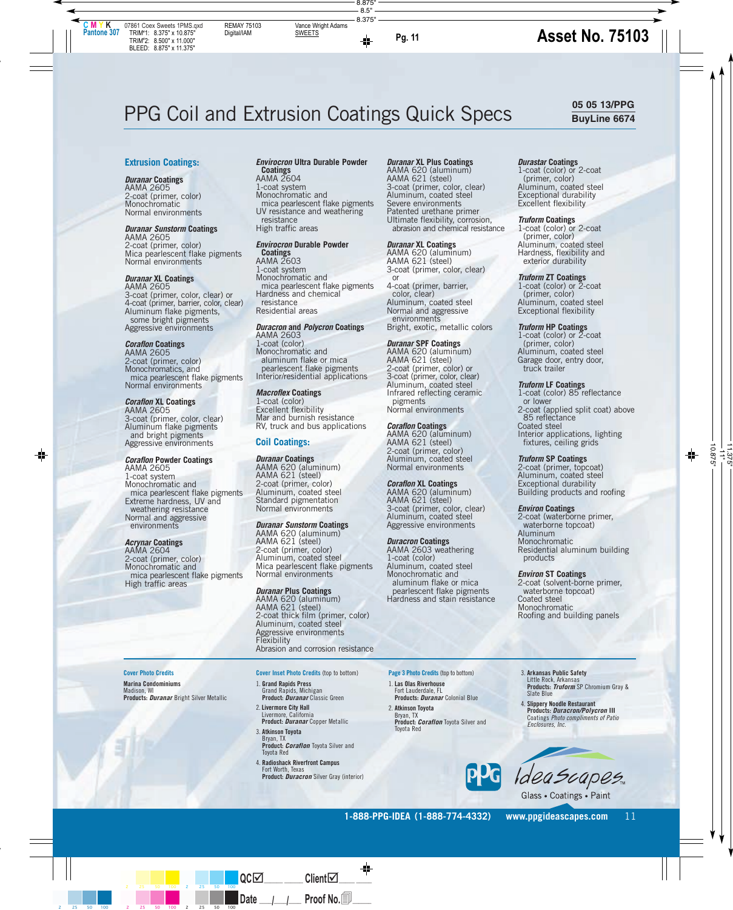#### **Extrusion Coatings:**

#### **Duranar Coatings** AAMA 2605 2-coat (primer, color) **Monochromatic** Normal environments

#### **Duranar Sunstorm Coatings**

AAMA 2605 2-coat (primer, color) Mica pearlescent flake pigments Normal environments

**Duranar XL Coatings** AAMA 2605 3-coat (primer, color, clear) or 4-coat (primer, barrier, color, clear) Aluminum flake pigments, some bright pigments Aggressive environments

#### **Coraflon Coatings**

AAMA 2605 2-coat (primer, color) Monochromatics, and mica pearlescent flake pigments Normal environments

**Coraflon XL Coatings** AAMA 2605 3-coat (primer, color, clear) Aluminum flake pigments and bright pigments Aggressive environments

#### **Coraflon Powder Coatings**

AAMA 2605 1-coat system Monochromatic and mica pearlescent flake pigments Extreme hardness, UV and weathering resistance Normal and aggressive environments

#### **Acrynar Coatings**

AAMA 2604 2-coat (primer, color) Monochromatic and mica pearlescent flake pigments High traffic areas

#### **Envirocron Ultra Durable Powder Coatings** AAMA 2604

1-coat system Monochromatic and mica pearlescent flake pigments UV resistance and weathering resistance High traffic areas

#### **Envirocron Durable Powder**

**Coatings** AAMA 2603 1-coat system Monochromatic and mica pearlescent flake pigments Hardness and chemical resistance Residential areas

#### **Duracron and Polycron Coatings**

AAMA 2603 1-coat (color) Monochromatic and aluminum flake or mica pearlescent flake pigments Interior/residential applications

#### **Macroflex Coatings**

1-coat (color) Excellent flexibility Mar and burnish resistance RV, truck and bus applications

#### **Coil Coatings:**

#### **Duranar Coatings**

AAMA 620 (aluminum) AAMA 621 (steel) 2-coat (primer, color) Aluminum, coated steel Standard pigmentation Normal environments

#### **Duranar Sunstorm Coatings**

AAMA 620 (aluminum) AAMA 621 (steel) 2-coat (primer, color) Aluminum, coated steel Mica pearlescent flake pigments Normal environments

#### **Duranar Plus Coatings**

AAMA 620 (aluminum) AAMA 621 (steel) 2-coat thick film (primer, color) Aluminum, coated steel Aggressive environments Flexibility Abrasion and corrosion resistance

#### **Cover Photo Credits**

**Marina Condominiums** Madison, WI **Products: Duranar** Bright Silver Metallic

- **Cover Inset Photo Credits** (top to bottom)
- 1. **Grand Rapids Press** Grand Rapids, Michigan **Product: Duranar** Classic Green
- 2. **Livermore City Hall** Livermore, California **Product: Duranar** Copper Metallic
- 3. **Atkinson Toyota** Bryan, TX **Product: Coraflon** Toyota Silver and Toyota Red
- 4. **Radioshack Riverfront Campus** Fort Worth, Texas **Product: Duracron** Silver Gray (interior)

#### **Duranar XL Plus Coatings**

AAMA 620 (aluminum) AAMA 621 (steel) 3-coat (primer, color, clear) Aluminum, coated steel Severe environments Patented urethane primer Ultimate flexibility, corrosion, abrasion and chemical resistance

#### **Duranar XL Coatings**

AAMA 620 (aluminum) AAMA 621 (steel) 3-coat (primer, color, clear) or 4-coat (primer, barrier, color, clear) Aluminum, coated steel Normal and aggressive environments Bright, exotic, metallic colors

#### **Duranar SPF Coatings**

AAMA 620 (aluminum) AAMA 621 (steel) 2-coat (primer, color) or 3-coat (primer, color, clear) Aluminum, coated steel Infrared reflecting ceramic pigments Normal environments

#### **Coraflon Coatings**

AAMA 620 (aluminum) AAMA 621 (steel) 2-coat (primer, color) Aluminum, coated steel Normal environments

#### **Coraflon XL Coatings**

AAMA 620 (aluminum) AAMA 621 (steel) 3-coat (primer, color, clear) Aluminum, coated steel Aggressive environments

#### **Duracron Coatings**

AAMA 2603 weathering 1-coat (color) Aluminum, coated steel Monochromatic and aluminum flake or mica pearlescent flake pigments Hardness and stain resistance

#### **Durastar Coatings**

1-coat (color) or 2-coat (primer, color) Aluminum, coated steel Exceptional durability Excellent flexibility

#### **Truform Coatings**

1-coat (color) or 2-coat (primer, color) Aluminum, coated steel Hardness, flexibility and exterior durability

#### **Truform ZT Coatings**

1-coat (color) or 2-coat (primer, color) Aluminum, coated steel Exceptional flexibility

#### **Truform HP Coatings**

1-coat (color) or  $\zeta$ -coat (primer, color) Aluminum, coated steel Garage door, entry door, truck trailer

#### **Truform LF Coatings**

1-coat (color) 85 reflectance or lower 2-coat (applied split coat) above 85 reflectance Coated steel Interior applications, lighting fixtures, ceiling grids

#### **Truform SP Coatings**

2-coat (primer, topcoat) Aluminum, coated steel Exceptional durability Building products and roofing

#### **Environ Coatings**

2-coat (waterborne primer, waterborne topcoat) Aluminum Monochromatic Residential aluminum building products

#### **Environ ST Coatings**

2-coat (solvent-borne primer, waterborne topcoat) Coated steel Monochromatic Roofing and building panels

**Page 3 Photo Credits** (top to bottom) 1. **Las Olas Riverhouse**

Fort Lauderdale, FL **Products: Duranar** Colonial Blue

2. **Atkinson Toyota** Bryan, TX **Product: Coraflon** Toyota Silver and Toyota Red



3. **Arkansas Public Safety**

**Products: Duracron/Polycron III** Coatings Photo compliments of Patio Enclosures, Inc.



Glass • Coatings • Paint